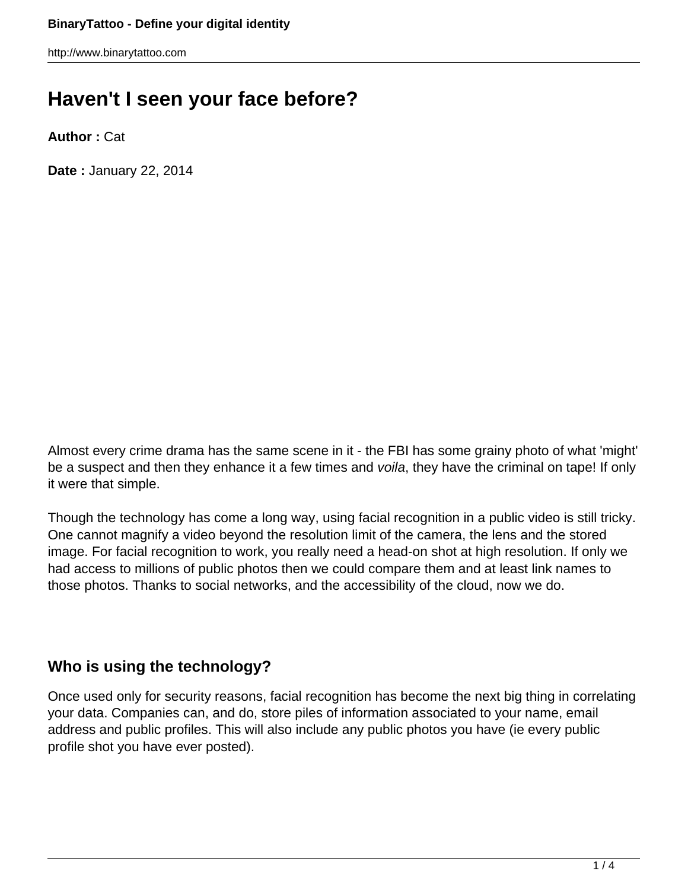# **Haven't I seen your face before?**

**Author :** Cat

**Date :** January 22, 2014

Almost every crime drama has the same scene in it - the FBI has some grainy photo of what 'might' be a suspect and then they enhance it a few times and voila, they have the criminal on tape! If only it were that simple.

Though the technology has come a long way, using facial recognition in a public video is still tricky. One cannot magnify a video beyond the resolution limit of the camera, the lens and the stored image. For facial recognition to work, you really need a head-on shot at high resolution. If only we had access to millions of public photos then we could compare them and at least link names to those photos. Thanks to social networks, and the accessibility of the cloud, now we do.

### **Who is using the technology?**

Once used only for security reasons, facial recognition has become the next big thing in correlating your data. Companies can, and do, store piles of information associated to your name, email address and public profiles. This will also include any public photos you have (ie every public profile shot you have ever posted).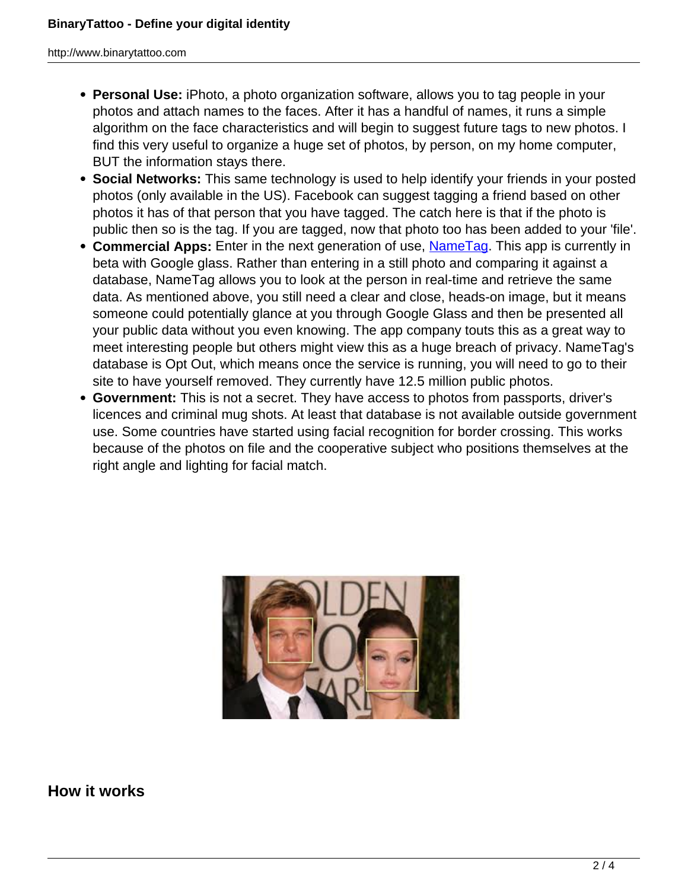- **Personal Use:** iPhoto, a photo organization software, allows you to tag people in your photos and attach names to the faces. After it has a handful of names, it runs a simple algorithm on the face characteristics and will begin to suggest future tags to new photos. I find this very useful to organize a huge set of photos, by person, on my home computer, BUT the information stays there.
- **Social Networks:** This same technology is used to help identify your friends in your posted photos (only available in the US). Facebook can suggest tagging a friend based on other photos it has of that person that you have tagged. The catch here is that if the photo is public then so is the tag. If you are tagged, now that photo too has been added to your 'file'.
- **Commercial Apps:** Enter in the next generation of use, Name Tag. This app is currently in beta with Google glass. Rather than entering in a still photo and comparing it against a database, NameTag allows you to look at the person in real-time and retrieve the same data. As mentioned above, you still need a clear and close, heads-on image, but it means someone could potentially glance at you through Google Glass and then be presented all your public data without you even knowing. The app company touts this as a great way to meet interesting people but others might view this as a huge breach of privacy. NameTag's database is Opt Out, which means once the service is running, you will need to go to their site to have yourself removed. They currently have 12.5 million public photos.
- **Government:** This is not a secret. They have access to photos from passports, driver's licences and criminal mug shots. At least that database is not available outside government use. Some countries have started using facial recognition for border crossing. This works because of the photos on file and the cooperative subject who positions themselves at the right angle and lighting for facial match.



**How it works**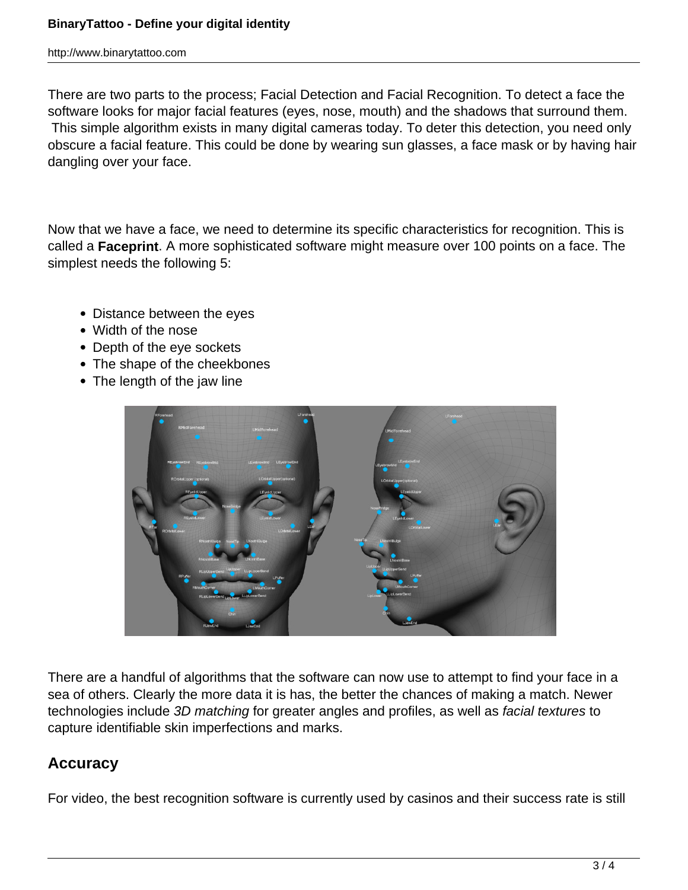There are two parts to the process; Facial Detection and Facial Recognition. To detect a face the software looks for major facial features (eyes, nose, mouth) and the shadows that surround them. This simple algorithm exists in many digital cameras today. To deter this detection, you need only obscure a facial feature. This could be done by wearing sun glasses, a face mask or by having hair dangling over your face.

Now that we have a face, we need to determine its specific characteristics for recognition. This is called a **Faceprint**. A more sophisticated software might measure over 100 points on a face. The simplest needs the following 5:

- Distance between the eyes
- Width of the nose
- Depth of the eye sockets
- The shape of the cheekbones
- The length of the jaw line



There are a handful of algorithms that the software can now use to attempt to find your face in a sea of others. Clearly the more data it is has, the better the chances of making a match. Newer technologies include 3D matching for greater angles and profiles, as well as facial textures to capture identifiable skin imperfections and marks.

### **Accuracy**

For video, the best recognition software is currently used by casinos and their success rate is still